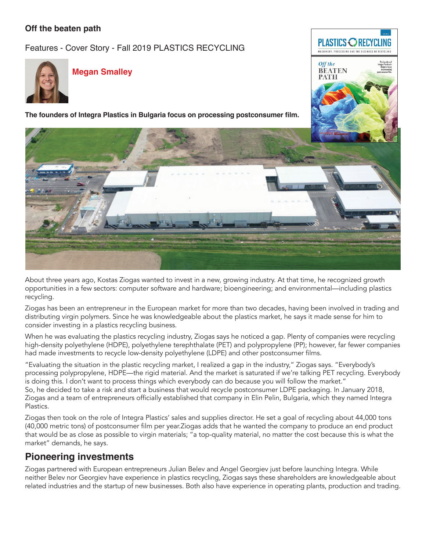### **Off the beaten path**

Features - Cover Story - Fall 2019 PLASTICS RECYCLING



#### **Megan Smalley**

**The founders of Integra Plastics in Bulgaria focus on processing postconsumer film.**



**PLASTICS ORECYCLING MACHINERY. PROCESSING AND THE BUSINESS OF RECYCLING** 

Off the **BEATEN PATH** 

About three years ago, Kostas Ziogas wanted to invest in a new, growing industry. At that time, he recognized growth opportunities in a few sectors: computer software and hardware; bioengineering; and environmental—including plastics recycling.

Ziogas has been an entrepreneur in the European market for more than two decades, having been involved in trading and distributing virgin polymers. Since he was knowledgeable about the plastics market, he says it made sense for him to consider investing in a plastics recycling business.

When he was evaluating the plastics recycling industry, Ziogas says he noticed a gap. Plenty of companies were recycling high-density polyethylene (HDPE), polyethylene terephthalate (PET) and polypropylene (PP); however, far fewer companies had made investments to recycle low-density polyethylene (LDPE) and other postconsumer films.

"Evaluating the situation in the plastic recycling market, I realized a gap in the industry," Ziogas says. "Everybody's processing polypropylene, HDPE—the rigid material. And the market is saturated if we're talking PET recycling. Everybody is doing this. I don't want to process things which everybody can do because you will follow the market." So, he decided to take a risk and start a business that would recycle postconsumer LDPE packaging. In January 2018, Ziogas and a team of entrepreneurs officially established that company in Elin Pelin, Bulgaria, which they named Integra Plastics.

Ziogas then took on the role of Integra Plastics' sales and supplies director. He set a goal of recycling about 44,000 tons (40,000 metric tons) of postconsumer film per year.Ziogas adds that he wanted the company to produce an end product that would be as close as possible to virgin materials; "a top-quality material, no matter the cost because this is what the market" demands, he says.

## **Pioneering investments**

Ziogas partnered with European entrepreneurs Julian Belev and Angel Georgiev just before launching Integra. While neither Belev nor Georgiev have experience in plastics recycling, Ziogas says these shareholders are knowledgeable about related industries and the startup of new businesses. Both also have experience in operating plants, production and trading.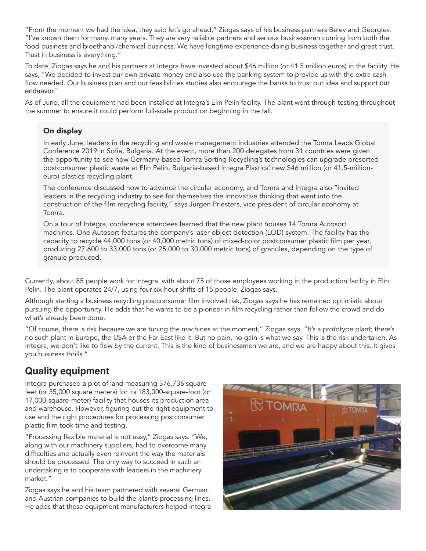"From the moment we had the idea, they said let's go ahead," Ziogas says of his business partners Belev and Georgiev. "I've known them for many, many years. They are very reliable partners and serious businessmen coming from both the food business and bioethanol/chemical business. We have longtime experience doing business together and great trust. Trust in business is everything."

To date, Ziogas says he and his partners at Integra have invested about \$46 million (or 41.5 million euros) in the facility. He says, "We decided to invest our own private money and also use the banking system to provide us with the extra cash flow needed. Our business plan and our feasibilities studies also encourage the banks to trust our idea and support our endeavor."

As of June, all the equipment had been installed at Integra's Elin Pelin facility. The plant went through testing throughout the summer to ensure it could perform full-scale production beginning in the fall.

#### On display

In early June, leaders in the recycling and waste management industries attended the Tomra Leads Global Conference 2019 in Sofia, Bulgaria. At the event, more than 200 delegates from 31 countries were given the opportunity to see how Germany-based Tomra Sorting Recycling's technologies can upgrade presorted postconsumer plastic waste at Elin Pelin, Bulgaria-based Integra Plastics' new \$46 million (or 41.5-millioneuro) plastics recycling plant.

The conference discussed how to advance the circular economy, and Tomra and Integra also "invited leaders in the recycling industry to see for themselves the innovative thinking that went into the construction of the film recycling facility," says Jürgen Priesters, vice president of circular economy at Tomra.

On a tour of Integra, conference attendees learned that the new plant houses 14 Tomra Autosort machines. One Autosort features the company's laser object detection (LOD) system. The facility has the capacity to recycle 44,000 tons (or 40,000 metric tons) of mixed-color postconsumer plastic film per year, producing 27,600 to 33,000 tons (or 25,000 to 30,000 metric tons) of granules, depending on the type of granule produced.

Currently, about 85 people work for Integra, with about 75 of those employees working in the production facility in Elin Pelin. The plant operates 24/7, using four six-hour shifts of 15 people, Ziogas says.

Although starting a business recycling postconsumer film involved risk, Ziogas says he has remained optimistic about pursuing the opportunity. He adds that he wants to be a pioneer in film recycling rather than follow the crowd and do what's already been done.

"Of course, there is risk because we are tuning the machines at the moment," Ziogas says. "It's a prototype plant; there's no such plant in Europe, the USA or the Far East like it. But no pain, no gain is what we say. This is the risk undertaken. As Integra, we don't like to flow by the current. This is the kind of businessmen we are, and we are happy about this. It gives you business thrills."

## **Quality equipment**

Integra purchased a plot of land measuring 376,736 square feet (or 35,000 square meters) for its 183,000-square-foot (or 17,000-square-meter) facility that houses its production area and warehouse. However, figuring out the right equipment to use and the right procedures for processing postconsumer plastic film took time and testing.

"Processing flexible material is not easy," Ziogas says. "We, along with our machinery suppliers, had to overcome many difficulties and actually even reinvent the way the materials should be processed. The only way to succeed in such an undertaking is to cooperate with leaders in the machinery market."

Ziogas says he and his team partnered with several German and Austrian companies to build the plant's processing lines. He adds that these equipment manufacturers helped Integra

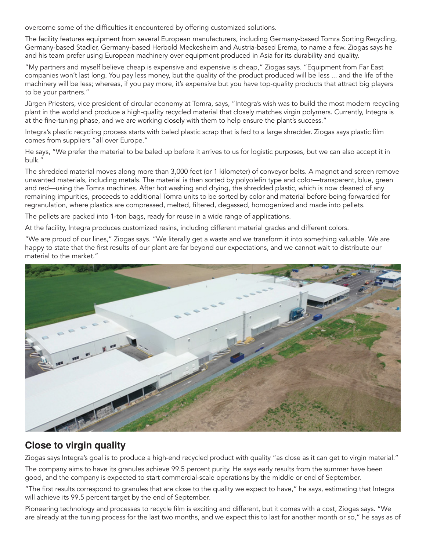overcome some of the difficulties it encountered by offering customized solutions.

The facility features equipment from several European manufacturers, including Germany-based Tomra Sorting Recycling, Germany-based Stadler, Germany-based Herbold Meckesheim and Austria-based Erema, to name a few. Ziogas says he and his team prefer using European machinery over equipment produced in Asia for its durability and quality.

"My partners and myself believe cheap is expensive and expensive is cheap," Ziogas says. "Equipment from Far East companies won't last long. You pay less money, but the quality of the product produced will be less ... and the life of the machinery will be less; whereas, if you pay more, it's expensive but you have top-quality products that attract big players to be your partners."

Jürgen Priesters, vice president of circular economy at Tomra, says, "Integra's wish was to build the most modern recycling plant in the world and produce a high-quality recycled material that closely matches virgin polymers. Currently, Integra is at the fine-tuning phase, and we are working closely with them to help ensure the plant's success."

Integra's plastic recycling process starts with baled plastic scrap that is fed to a large shredder. Ziogas says plastic film comes from suppliers "all over Europe."

He says, "We prefer the material to be baled up before it arrives to us for logistic purposes, but we can also accept it in bulk."

The shredded material moves along more than 3,000 feet (or 1 kilometer) of conveyor belts. A magnet and screen remove unwanted materials, including metals. The material is then sorted by polyolefin type and color—transparent, blue, green and red—using the Tomra machines. After hot washing and drying, the shredded plastic, which is now cleaned of any remaining impurities, proceeds to additional Tomra units to be sorted by color and material before being forwarded for regranulation, where plastics are compressed, melted, filtered, degassed, homogenized and made into pellets.

The pellets are packed into 1-ton bags, ready for reuse in a wide range of applications.

At the facility, Integra produces customized resins, including different material grades and different colors.

"We are proud of our lines," Ziogas says. "We literally get a waste and we transform it into something valuable. We are happy to state that the first results of our plant are far beyond our expectations, and we cannot wait to distribute our material to the market."



## **Close to virgin quality**

Ziogas says Integra's goal is to produce a high-end recycled product with quality "as close as it can get to virgin material."

The company aims to have its granules achieve 99.5 percent purity. He says early results from the summer have been good, and the company is expected to start commercial-scale operations by the middle or end of September.

"The first results correspond to granules that are close to the quality we expect to have," he says, estimating that Integra will achieve its 99.5 percent target by the end of September.

Pioneering technology and processes to recycle film is exciting and different, but it comes with a cost, Ziogas says. "We are already at the tuning process for the last two months, and we expect this to last for another month or so," he says as of